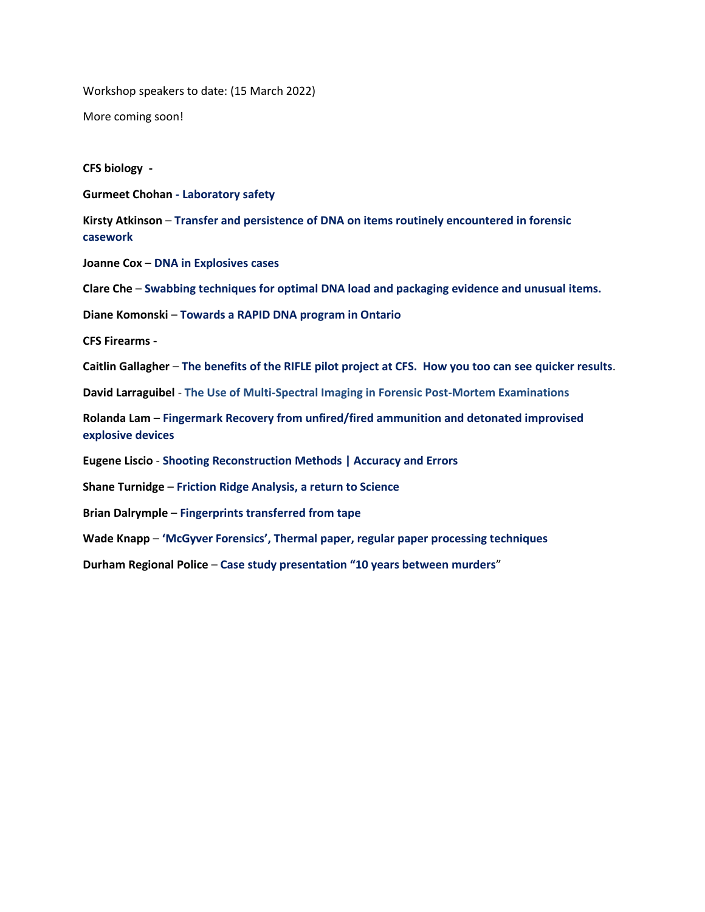Workshop speakers to date: (15 March 2022)

More coming soon!

**CFS biology -**

**Gurmeet Chohan - Laboratory safety**

**Kirsty Atkinson** – **Transfer and persistence of DNA on items routinely encountered in forensic casework**

**Joanne Cox** – **DNA in Explosives cases**

**Clare Che** – **Swabbing techniques for optimal DNA load and packaging evidence and unusual items.**

**Diane Komonski** – **Towards a RAPID DNA program in Ontario**

**CFS Firearms -**

**Caitlin Gallagher** – **The benefits of the RIFLE pilot project at CFS. How you too can see quicker results**.

**David Larraguibel** - **The Use of Multi-Spectral Imaging in Forensic Post-Mortem Examinations**

**Rolanda Lam** – **Fingermark Recovery from unfired/fired ammunition and detonated improvised explosive devices**

**Eugene Liscio** - **Shooting Reconstruction Methods | Accuracy and Errors**

**Shane Turnidge** – **Friction Ridge Analysis, a return to Science**

**Brian Dalrymple** – **Fingerprints transferred from tape**

**Wade Knapp** – **'McGyver Forensics', Thermal paper, regular paper processing techniques**

**Durham Regional Police** – **Case study presentation "10 years between murders**"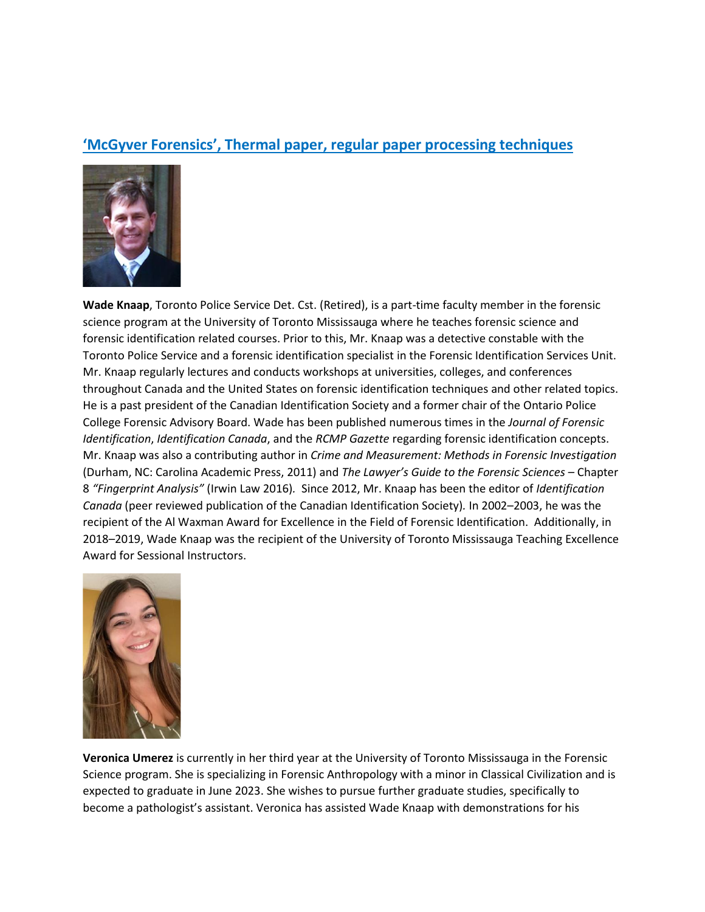### **'McGyver Forensics', Thermal paper, regular paper processing techniques**



**Wade Knaap**, Toronto Police Service Det. Cst. (Retired), is a part-time faculty member in the forensic science program at the University of Toronto Mississauga where he teaches forensic science and forensic identification related courses. Prior to this, Mr. Knaap was a detective constable with the Toronto Police Service and a forensic identification specialist in the Forensic Identification Services Unit. Mr. Knaap regularly lectures and conducts workshops at universities, colleges, and conferences throughout Canada and the United States on forensic identification techniques and other related topics. He is a past president of the Canadian Identification Society and a former chair of the Ontario Police College Forensic Advisory Board. Wade has been published numerous times in the *Journal of Forensic Identification*, *Identification Canada*, and the *RCMP Gazette* regarding forensic identification concepts. Mr. Knaap was also a contributing author in *Crime and Measurement: Methods in Forensic Investigation*  (Durham, NC: Carolina Academic Press, 2011) and *The Lawyer's Guide to the Forensic Sciences –* Chapter 8 *"Fingerprint Analysis"* (Irwin Law 2016)*.* Since 2012, Mr. Knaap has been the editor of *Identification Canada* (peer reviewed publication of the Canadian Identification Society)*.* In 2002–2003, he was the recipient of the Al Waxman Award for Excellence in the Field of Forensic Identification. Additionally, in 2018–2019, Wade Knaap was the recipient of the University of Toronto Mississauga Teaching Excellence Award for Sessional Instructors.



**Veronica Umerez** is currently in her third year at the University of Toronto Mississauga in the Forensic Science program. She is specializing in Forensic Anthropology with a minor in Classical Civilization and is expected to graduate in June 2023. She wishes to pursue further graduate studies, specifically to become a pathologist's assistant. Veronica has assisted Wade Knaap with demonstrations for his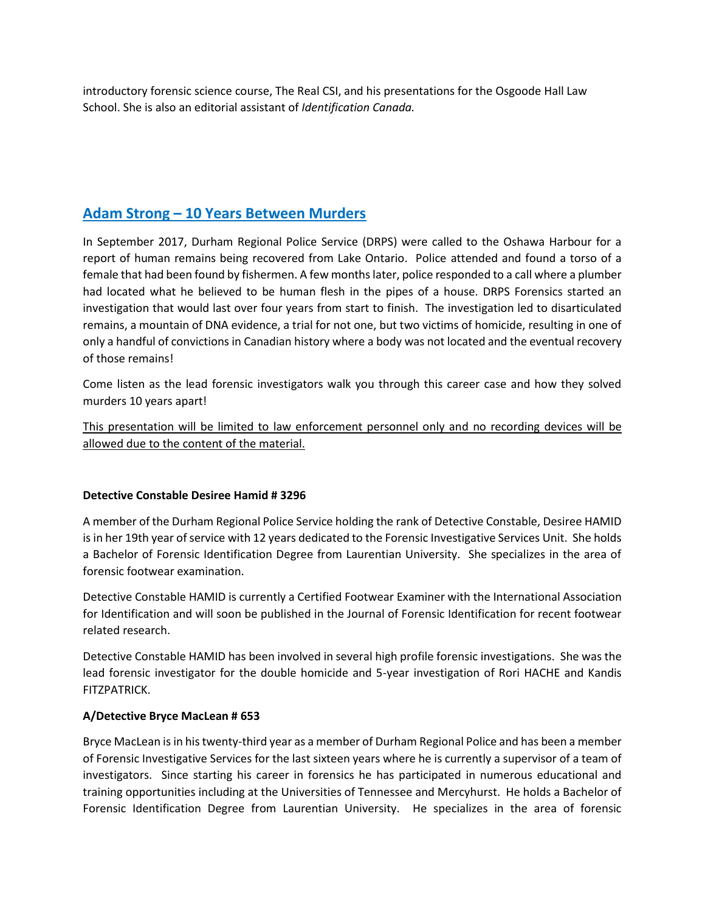introductory forensic science course, The Real CSI, and his presentations for the Osgoode Hall Law School. She is also an editorial assistant of *Identification Canada.*

## **Adam Strong – 10 Years Between Murders**

In September 2017, Durham Regional Police Service (DRPS) were called to the Oshawa Harbour for a report of human remains being recovered from Lake Ontario. Police attended and found a torso of a female that had been found by fishermen. A few months later, police responded to a call where a plumber had located what he believed to be human flesh in the pipes of a house. DRPS Forensics started an investigation that would last over four years from start to finish. The investigation led to disarticulated remains, a mountain of DNA evidence, a trial for not one, but two victims of homicide, resulting in one of only a handful of convictions in Canadian history where a body was not located and the eventual recovery of those remains!

Come listen as the lead forensic investigators walk you through this career case and how they solved murders 10 years apart!

This presentation will be limited to law enforcement personnel only and no recording devices will be allowed due to the content of the material.

### **Detective Constable Desiree Hamid # 3296**

A member of the Durham Regional Police Service holding the rank of Detective Constable, Desiree HAMID is in her 19th year of service with 12 years dedicated to the Forensic Investigative Services Unit. She holds a Bachelor of Forensic Identification Degree from Laurentian University. She specializes in the area of forensic footwear examination.

Detective Constable HAMID is currently a Certified Footwear Examiner with the International Association for Identification and will soon be published in the Journal of Forensic Identification for recent footwear related research.

Detective Constable HAMID has been involved in several high profile forensic investigations. She was the lead forensic investigator for the double homicide and 5-year investigation of Rori HACHE and Kandis FITZPATRICK.

### **A/Detective Bryce MacLean # 653**

Bryce MacLean is in his twenty-third year as a member of Durham Regional Police and has been a member of Forensic Investigative Services for the last sixteen years where he is currently a supervisor of a team of investigators. Since starting his career in forensics he has participated in numerous educational and training opportunities including at the Universities of Tennessee and Mercyhurst. He holds a Bachelor of Forensic Identification Degree from Laurentian University. He specializes in the area of forensic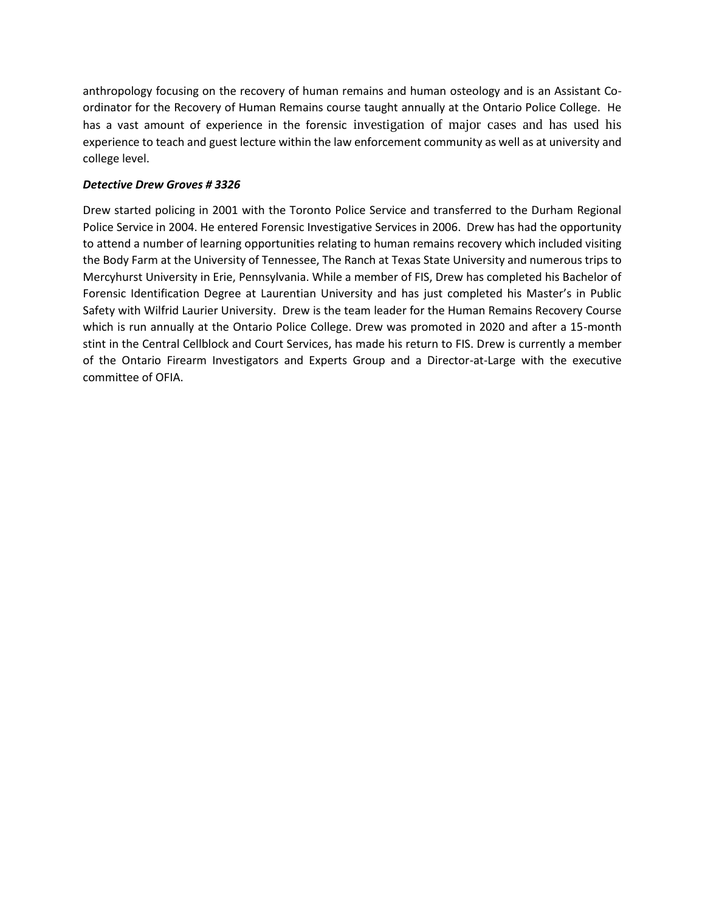anthropology focusing on the recovery of human remains and human osteology and is an Assistant Coordinator for the Recovery of Human Remains course taught annually at the Ontario Police College. He has a vast amount of experience in the forensic investigation of major cases and has used his experience to teach and guest lecture within the law enforcement community as well as at university and college level.

### *Detective Drew Groves # 3326*

Drew started policing in 2001 with the Toronto Police Service and transferred to the Durham Regional Police Service in 2004. He entered Forensic Investigative Services in 2006. Drew has had the opportunity to attend a number of learning opportunities relating to human remains recovery which included visiting the Body Farm at the University of Tennessee, The Ranch at Texas State University and numerous trips to Mercyhurst University in Erie, Pennsylvania. While a member of FIS, Drew has completed his Bachelor of Forensic Identification Degree at Laurentian University and has just completed his Master's in Public Safety with Wilfrid Laurier University. Drew is the team leader for the Human Remains Recovery Course which is run annually at the Ontario Police College. Drew was promoted in 2020 and after a 15-month stint in the Central Cellblock and Court Services, has made his return to FIS. Drew is currently a member of the Ontario Firearm Investigators and Experts Group and a Director-at-Large with the executive committee of OFIA.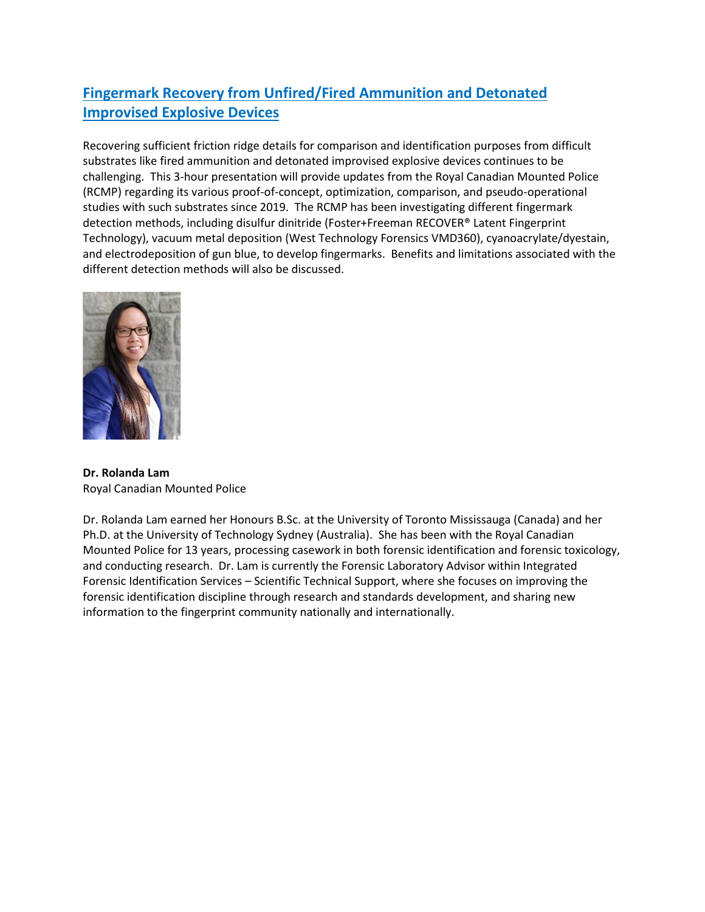# **Fingermark Recovery from Unfired/Fired Ammunition and Detonated Improvised Explosive Devices**

Recovering sufficient friction ridge details for comparison and identification purposes from difficult substrates like fired ammunition and detonated improvised explosive devices continues to be challenging. This 3-hour presentation will provide updates from the Royal Canadian Mounted Police (RCMP) regarding its various proof-of-concept, optimization, comparison, and pseudo-operational studies with such substrates since 2019. The RCMP has been investigating different fingermark detection methods, including disulfur dinitride (Foster+Freeman RECOVER® Latent Fingerprint Technology), vacuum metal deposition (West Technology Forensics VMD360), cyanoacrylate/dyestain, and electrodeposition of gun blue, to develop fingermarks. Benefits and limitations associated with the different detection methods will also be discussed.



**Dr. Rolanda Lam** Royal Canadian Mounted Police

Dr. Rolanda Lam earned her Honours B.Sc. at the University of Toronto Mississauga (Canada) and her Ph.D. at the University of Technology Sydney (Australia). She has been with the Royal Canadian Mounted Police for 13 years, processing casework in both forensic identification and forensic toxicology, and conducting research. Dr. Lam is currently the Forensic Laboratory Advisor within Integrated Forensic Identification Services – Scientific Technical Support, where she focuses on improving the forensic identification discipline through research and standards development, and sharing new information to the fingerprint community nationally and internationally.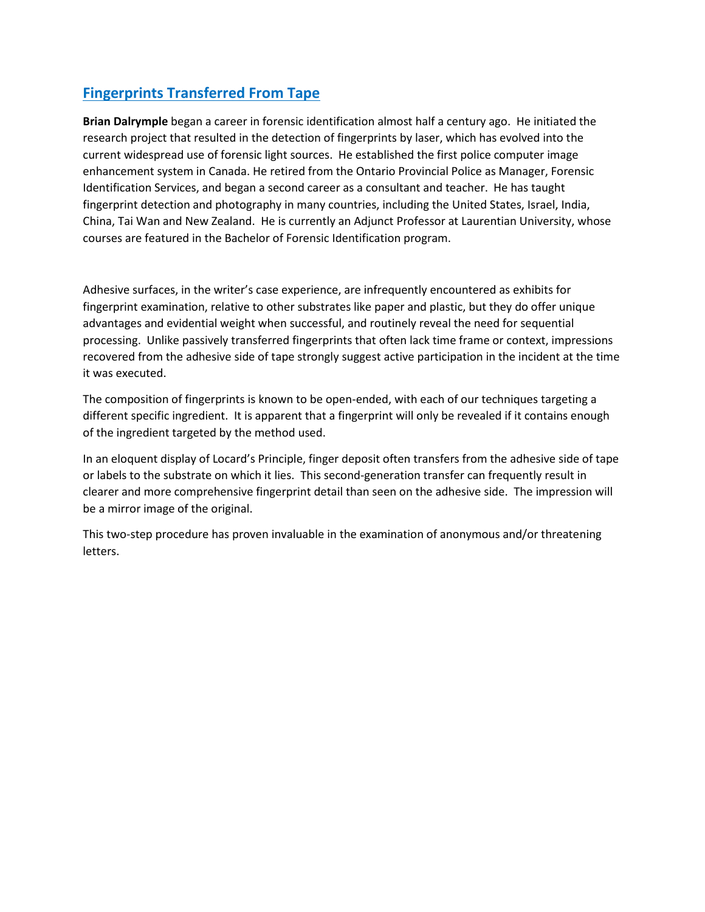# **Fingerprints Transferred From Tape**

**Brian Dalrymple** began a career in forensic identification almost half a century ago. He initiated the research project that resulted in the detection of fingerprints by laser, which has evolved into the current widespread use of forensic light sources. He established the first police computer image enhancement system in Canada. He retired from the Ontario Provincial Police as Manager, Forensic Identification Services, and began a second career as a consultant and teacher. He has taught fingerprint detection and photography in many countries, including the United States, Israel, India, China, Tai Wan and New Zealand. He is currently an Adjunct Professor at Laurentian University, whose courses are featured in the Bachelor of Forensic Identification program.

Adhesive surfaces, in the writer's case experience, are infrequently encountered as exhibits for fingerprint examination, relative to other substrates like paper and plastic, but they do offer unique advantages and evidential weight when successful, and routinely reveal the need for sequential processing. Unlike passively transferred fingerprints that often lack time frame or context, impressions recovered from the adhesive side of tape strongly suggest active participation in the incident at the time it was executed.

The composition of fingerprints is known to be open-ended, with each of our techniques targeting a different specific ingredient. It is apparent that a fingerprint will only be revealed if it contains enough of the ingredient targeted by the method used.

In an eloquent display of Locard's Principle, finger deposit often transfers from the adhesive side of tape or labels to the substrate on which it lies. This second-generation transfer can frequently result in clearer and more comprehensive fingerprint detail than seen on the adhesive side. The impression will be a mirror image of the original.

This two-step procedure has proven invaluable in the examination of anonymous and/or threatening letters.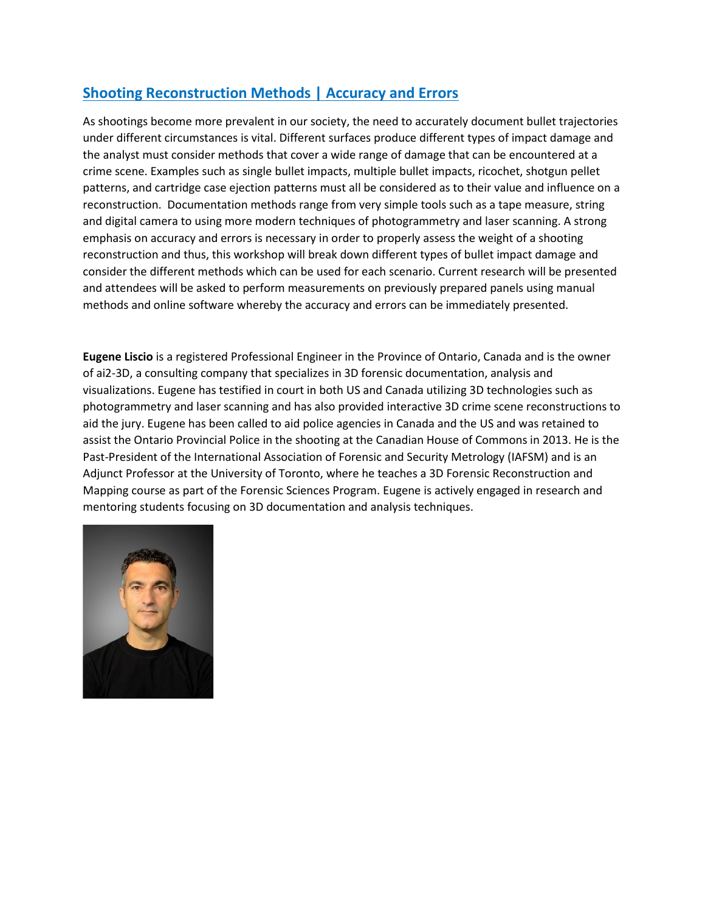# **Shooting Reconstruction Methods | Accuracy and Errors**

As shootings become more prevalent in our society, the need to accurately document bullet trajectories under different circumstances is vital. Different surfaces produce different types of impact damage and the analyst must consider methods that cover a wide range of damage that can be encountered at a crime scene. Examples such as single bullet impacts, multiple bullet impacts, ricochet, shotgun pellet patterns, and cartridge case ejection patterns must all be considered as to their value and influence on a reconstruction. Documentation methods range from very simple tools such as a tape measure, string and digital camera to using more modern techniques of photogrammetry and laser scanning. A strong emphasis on accuracy and errors is necessary in order to properly assess the weight of a shooting reconstruction and thus, this workshop will break down different types of bullet impact damage and consider the different methods which can be used for each scenario. Current research will be presented and attendees will be asked to perform measurements on previously prepared panels using manual methods and online software whereby the accuracy and errors can be immediately presented.

**Eugene Liscio** is a registered Professional Engineer in the Province of Ontario, Canada and is the owner of ai2-3D, a consulting company that specializes in 3D forensic documentation, analysis and visualizations. Eugene has testified in court in both US and Canada utilizing 3D technologies such as photogrammetry and laser scanning and has also provided interactive 3D crime scene reconstructions to aid the jury. Eugene has been called to aid police agencies in Canada and the US and was retained to assist the Ontario Provincial Police in the shooting at the Canadian House of Commons in 2013. He is the Past-President of the International Association of Forensic and Security Metrology (IAFSM) and is an Adjunct Professor at the University of Toronto, where he teaches a 3D Forensic Reconstruction and Mapping course as part of the Forensic Sciences Program. Eugene is actively engaged in research and mentoring students focusing on 3D documentation and analysis techniques.

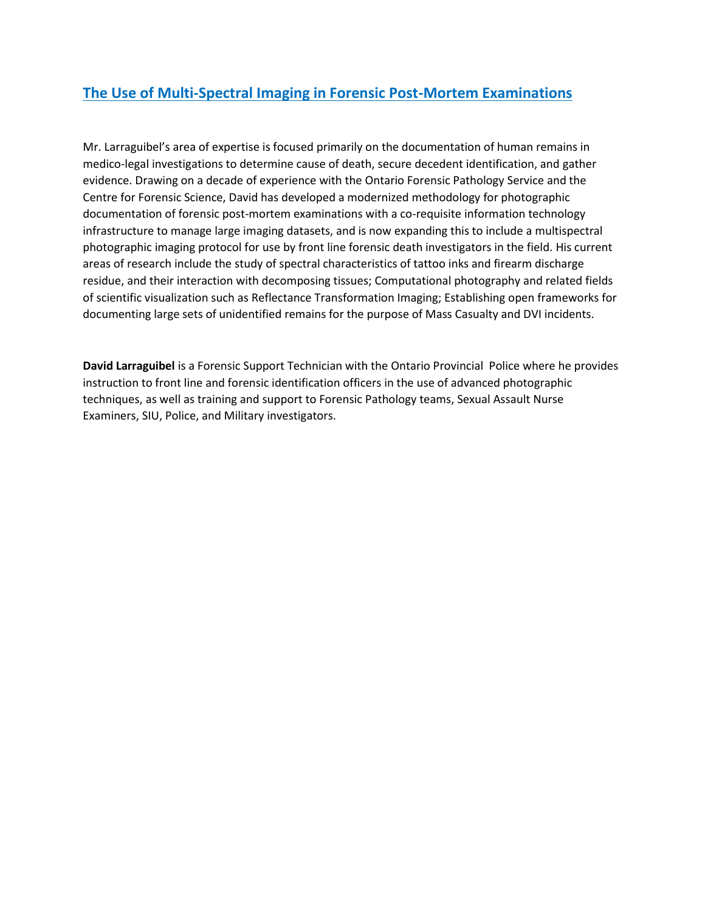## **The Use of Multi-Spectral Imaging in Forensic Post-Mortem Examinations**

Mr. Larraguibel's area of expertise is focused primarily on the documentation of human remains in medico-legal investigations to determine cause of death, secure decedent identification, and gather evidence. Drawing on a decade of experience with the Ontario Forensic Pathology Service and the Centre for Forensic Science, David has developed a modernized methodology for photographic documentation of forensic post-mortem examinations with a co-requisite information technology infrastructure to manage large imaging datasets, and is now expanding this to include a multispectral photographic imaging protocol for use by front line forensic death investigators in the field. His current areas of research include the study of spectral characteristics of tattoo inks and firearm discharge residue, and their interaction with decomposing tissues; Computational photography and related fields of scientific visualization such as Reflectance Transformation Imaging; Establishing open frameworks for documenting large sets of unidentified remains for the purpose of Mass Casualty and DVI incidents.

**David Larraguibel** is a Forensic Support Technician with the Ontario Provincial Police where he provides instruction to front line and forensic identification officers in the use of advanced photographic techniques, as well as training and support to Forensic Pathology teams, Sexual Assault Nurse Examiners, SIU, Police, and Military investigators.